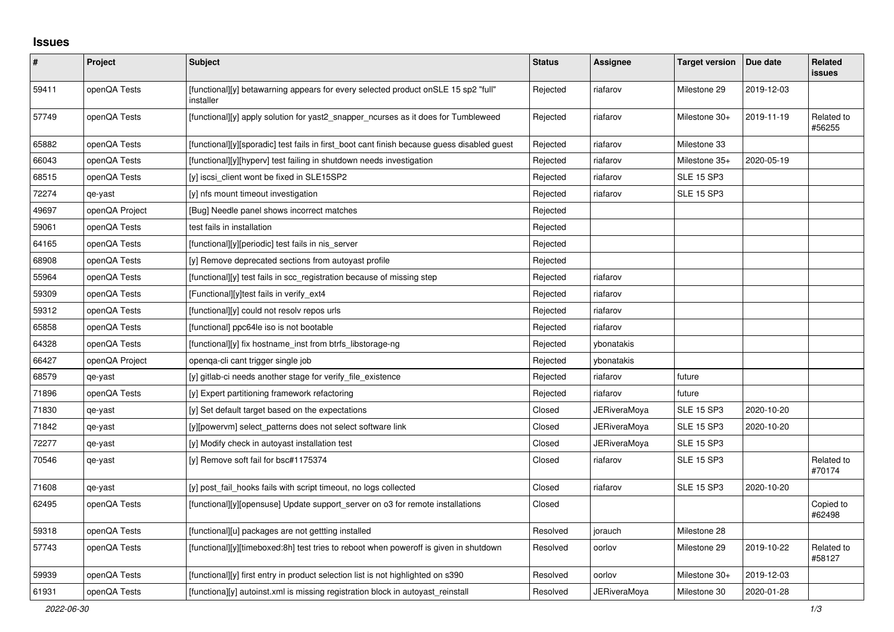## **Issues**

| #     | Project        | Subject                                                                                         | <b>Status</b> | Assignee            | <b>Target version</b> | Due date   | <b>Related</b><br>issues |
|-------|----------------|-------------------------------------------------------------------------------------------------|---------------|---------------------|-----------------------|------------|--------------------------|
| 59411 | openQA Tests   | [functional][y] betawarning appears for every selected product onSLE 15 sp2 "full"<br>installer | Rejected      | riafarov            | Milestone 29          | 2019-12-03 |                          |
| 57749 | openQA Tests   | [functional][y] apply solution for yast2 snapper ncurses as it does for Tumbleweed              | Rejected      | riafarov            | Milestone 30+         | 2019-11-19 | Related to<br>#56255     |
| 65882 | openQA Tests   | [functional][y][sporadic] test fails in first boot cant finish because guess disabled guest     | Rejected      | riafarov            | Milestone 33          |            |                          |
| 66043 | openQA Tests   | [functional][y][hyperv] test failing in shutdown needs investigation                            | Rejected      | riafarov            | Milestone 35+         | 2020-05-19 |                          |
| 68515 | openQA Tests   | [y] iscsi client wont be fixed in SLE15SP2                                                      | Rejected      | riafarov            | <b>SLE 15 SP3</b>     |            |                          |
| 72274 | qe-yast        | [y] nfs mount timeout investigation                                                             | Rejected      | riafarov            | <b>SLE 15 SP3</b>     |            |                          |
| 49697 | openQA Project | [Bug] Needle panel shows incorrect matches                                                      | Rejected      |                     |                       |            |                          |
| 59061 | openQA Tests   | test fails in installation                                                                      | Rejected      |                     |                       |            |                          |
| 64165 | openQA Tests   | [functional][y][periodic] test fails in nis_server                                              | Rejected      |                     |                       |            |                          |
| 68908 | openQA Tests   | [y] Remove deprecated sections from autoyast profile                                            | Rejected      |                     |                       |            |                          |
| 55964 | openQA Tests   | [functional][y] test fails in scc_registration because of missing step                          | Rejected      | riafarov            |                       |            |                          |
| 59309 | openQA Tests   | [Functional][y]test fails in verify_ext4                                                        | Rejected      | riafarov            |                       |            |                          |
| 59312 | openQA Tests   | [functional][y] could not resolv repos urls                                                     | Rejected      | riafarov            |                       |            |                          |
| 65858 | openQA Tests   | [functional] ppc64le iso is not bootable                                                        | Rejected      | riafarov            |                       |            |                          |
| 64328 | openQA Tests   | [functional][y] fix hostname_inst from btrfs_libstorage-ng                                      | Rejected      | ybonatakis          |                       |            |                          |
| 66427 | openQA Project | openqa-cli cant trigger single job                                                              | Rejected      | ybonatakis          |                       |            |                          |
| 68579 | qe-yast        | [y] gitlab-ci needs another stage for verify file existence                                     | Rejected      | riafarov            | future                |            |                          |
| 71896 | openQA Tests   | [y] Expert partitioning framework refactoring                                                   | Rejected      | riafarov            | future                |            |                          |
| 71830 | qe-yast        | [y] Set default target based on the expectations                                                | Closed        | JERiveraMoya        | <b>SLE 15 SP3</b>     | 2020-10-20 |                          |
| 71842 | qe-yast        | [y][powervm] select_patterns does not select software link                                      | Closed        | <b>JERiveraMoya</b> | <b>SLE 15 SP3</b>     | 2020-10-20 |                          |
| 72277 | qe-yast        | [y] Modify check in autoyast installation test                                                  | Closed        | <b>JERiveraMoya</b> | <b>SLE 15 SP3</b>     |            |                          |
| 70546 | qe-yast        | [y] Remove soft fail for bsc#1175374                                                            | Closed        | riafarov            | <b>SLE 15 SP3</b>     |            | Related to<br>#70174     |
| 71608 | qe-yast        | [y] post fail hooks fails with script timeout, no logs collected                                | Closed        | riafarov            | <b>SLE 15 SP3</b>     | 2020-10-20 |                          |
| 62495 | openQA Tests   | [functional][y][opensuse] Update support server on o3 for remote installations                  | Closed        |                     |                       |            | Copied to<br>#62498      |
| 59318 | openQA Tests   | [functional][u] packages are not gettting installed                                             | Resolved      | jorauch             | Milestone 28          |            |                          |
| 57743 | openQA Tests   | [functional][y][timeboxed:8h] test tries to reboot when poweroff is given in shutdown           | Resolved      | oorlov              | Milestone 29          | 2019-10-22 | Related to<br>#58127     |
| 59939 | openQA Tests   | [functional][y] first entry in product selection list is not highlighted on s390                | Resolved      | oorlov              | Milestone 30+         | 2019-12-03 |                          |
| 61931 | openQA Tests   | [functiona][y] autoinst.xml is missing registration block in autoyast_reinstall                 | Resolved      | JERiveraMoya        | Milestone 30          | 2020-01-28 |                          |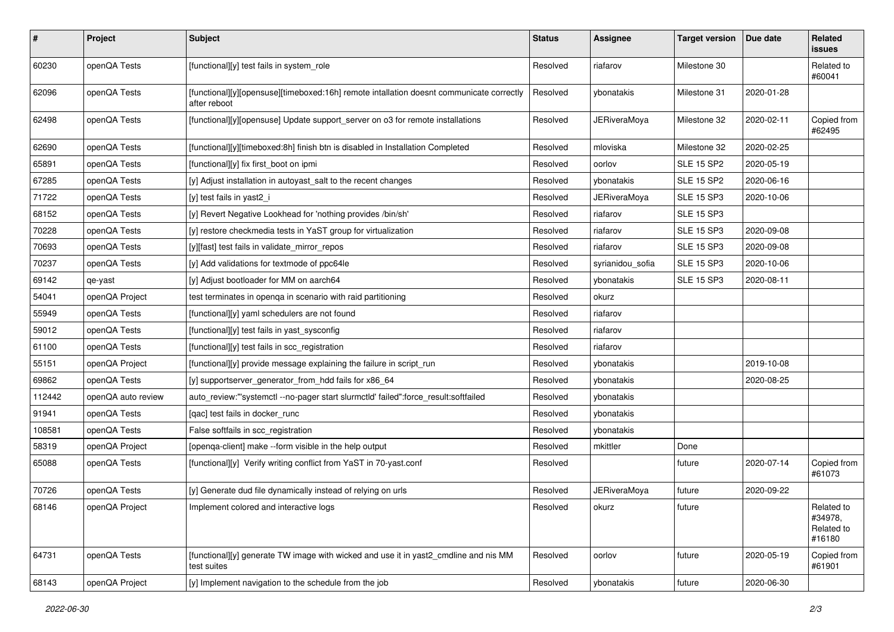| #      | Project            | <b>Subject</b>                                                                                           | <b>Status</b> | <b>Assignee</b>     | <b>Target version</b> | Due date   | Related<br>issues                             |
|--------|--------------------|----------------------------------------------------------------------------------------------------------|---------------|---------------------|-----------------------|------------|-----------------------------------------------|
| 60230  | openQA Tests       | [functional][y] test fails in system_role                                                                | Resolved      | riafarov            | Milestone 30          |            | Related to<br>#60041                          |
| 62096  | openQA Tests       | [functional][y][opensuse][timeboxed:16h] remote intallation doesnt communicate correctly<br>after reboot | Resolved      | ybonatakis          | Milestone 31          | 2020-01-28 |                                               |
| 62498  | openQA Tests       | [functional][y][opensuse] Update support_server on o3 for remote installations                           | Resolved      | <b>JERiveraMoya</b> | Milestone 32          | 2020-02-11 | Copied from<br>#62495                         |
| 62690  | openQA Tests       | [functional][y][timeboxed:8h] finish btn is disabled in Installation Completed                           | Resolved      | mloviska            | Milestone 32          | 2020-02-25 |                                               |
| 65891  | openQA Tests       | [functional][y] fix first_boot on ipmi                                                                   | Resolved      | oorlov              | <b>SLE 15 SP2</b>     | 2020-05-19 |                                               |
| 67285  | openQA Tests       | [y] Adjust installation in autoyast_salt to the recent changes                                           | Resolved      | ybonatakis          | <b>SLE 15 SP2</b>     | 2020-06-16 |                                               |
| 71722  | openQA Tests       | [y] test fails in yast2_i                                                                                | Resolved      | JERiveraMoya        | <b>SLE 15 SP3</b>     | 2020-10-06 |                                               |
| 68152  | openQA Tests       | [y] Revert Negative Lookhead for 'nothing provides /bin/sh'                                              | Resolved      | riafarov            | <b>SLE 15 SP3</b>     |            |                                               |
| 70228  | openQA Tests       | [y] restore checkmedia tests in YaST group for virtualization                                            | Resolved      | riafarov            | <b>SLE 15 SP3</b>     | 2020-09-08 |                                               |
| 70693  | openQA Tests       | [y][fast] test fails in validate_mirror_repos                                                            | Resolved      | riafarov            | <b>SLE 15 SP3</b>     | 2020-09-08 |                                               |
| 70237  | openQA Tests       | [y] Add validations for textmode of ppc64le                                                              | Resolved      | syrianidou_sofia    | <b>SLE 15 SP3</b>     | 2020-10-06 |                                               |
| 69142  | qe-yast            | [y] Adjust bootloader for MM on aarch64                                                                  | Resolved      | ybonatakis          | <b>SLE 15 SP3</b>     | 2020-08-11 |                                               |
| 54041  | openQA Project     | test terminates in openqa in scenario with raid partitioning                                             | Resolved      | okurz               |                       |            |                                               |
| 55949  | openQA Tests       | [functional][y] yaml schedulers are not found                                                            | Resolved      | riafarov            |                       |            |                                               |
| 59012  | openQA Tests       | [functional][y] test fails in yast_sysconfig                                                             | Resolved      | riafarov            |                       |            |                                               |
| 61100  | openQA Tests       | [functional][y] test fails in scc_registration                                                           | Resolved      | riafarov            |                       |            |                                               |
| 55151  | openQA Project     | [functional][y] provide message explaining the failure in script run                                     | Resolved      | ybonatakis          |                       | 2019-10-08 |                                               |
| 69862  | openQA Tests       | [y] supportserver_generator_from_hdd fails for x86_64                                                    | Resolved      | ybonatakis          |                       | 2020-08-25 |                                               |
| 112442 | openQA auto review | auto_review:"'systemctl --no-pager start slurmctld' failed":force_result:softfailed                      | Resolved      | ybonatakis          |                       |            |                                               |
| 91941  | openQA Tests       | [qac] test fails in docker_runc                                                                          | Resolved      | ybonatakis          |                       |            |                                               |
| 108581 | openQA Tests       | False softfails in scc_registration                                                                      | Resolved      | ybonatakis          |                       |            |                                               |
| 58319  | openQA Project     | [openqa-client] make --form visible in the help output                                                   | Resolved      | mkittler            | Done                  |            |                                               |
| 65088  | openQA Tests       | [functional][y] Verify writing conflict from YaST in 70-yast.conf                                        | Resolved      |                     | future                | 2020-07-14 | Copied from<br>#61073                         |
| 70726  | openQA Tests       | [y] Generate dud file dynamically instead of relying on urls                                             | Resolved      | <b>JERiveraMoya</b> | future                | 2020-09-22 |                                               |
| 68146  | openQA Project     | Implement colored and interactive logs                                                                   | Resolved      | okurz               | future                |            | Related to<br>#34978,<br>Related to<br>#16180 |
| 64731  | openQA Tests       | [functional][y] generate TW image with wicked and use it in yast2 cmdline and nis MM<br>test suites      | Resolved      | oorlov              | future                | 2020-05-19 | Copied from<br>#61901                         |
| 68143  | openQA Project     | [y] Implement navigation to the schedule from the job                                                    | Resolved      | ybonatakis          | future                | 2020-06-30 |                                               |